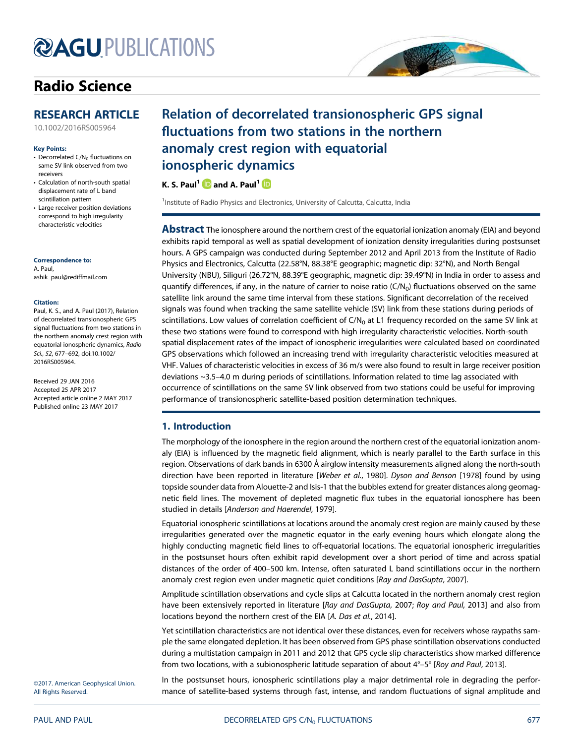# **@AGUPUBLICATIONS**

# Radio Science

# RESEARCH ARTICLE

10.1002/2016RS005964

### Key Points:

- Decorrelated  $C/N_0$  fluctuations on same SV link observed from two receivers
- Calculation of north-south spatial displacement rate of L band scintillation pattern
- Large receiver position deviations correspond to high irregularity characteristic velocities

#### Correspondence to:

A. Paul, ashik\_paul@rediffmail.com

### Citation:

Paul, K. S., and A. Paul (2017), Relation of decorrelated transionospheric GPS signal fluctuations from two stations in the northern anomaly crest region with equatorial ionospheric dynamics, Radio Sci., 52, 677–692, doi:10.1002/ 2016RS005964.

Received 29 JAN 2016 Accepted 25 APR 2017 Accepted article online 2 MAY 2017 Published online 23 MAY 2017

# Relation of decorrelated transionospheric GPS signal fluctuations from two stations in the northern anomaly crest region with equatorial ionospheric dynamics

SP 20

# K. S. Paul<sup>1</sup>  $\blacksquare$  and A. Paul<sup>1</sup>

<sup>1</sup>Institute of Radio Physics and Electronics, University of Calcutta, Calcutta, India

**Abstract** The ionosphere around the northern crest of the equatorial ionization anomaly (EIA) and beyond exhibits rapid temporal as well as spatial development of ionization density irregularities during postsunset hours. A GPS campaign was conducted during September 2012 and April 2013 from the Institute of Radio Physics and Electronics, Calcutta (22.58°N, 88.38°E geographic; magnetic dip: 32°N), and North Bengal University (NBU), Siliguri (26.72°N, 88.39°E geographic, magnetic dip: 39.49°N) in India in order to assess and quantify differences, if any, in the nature of carrier to noise ratio ( $C/N<sub>0</sub>$ ) fluctuations observed on the same satellite link around the same time interval from these stations. Significant decorrelation of the received signals was found when tracking the same satellite vehicle (SV) link from these stations during periods of scintillations. Low values of correlation coefficient of  $C/N<sub>0</sub>$  at L1 frequency recorded on the same SV link at these two stations were found to correspond with high irregularity characteristic velocities. North-south spatial displacement rates of the impact of ionospheric irregularities were calculated based on coordinated GPS observations which followed an increasing trend with irregularity characteristic velocities measured at VHF. Values of characteristic velocities in excess of 36 m/s were also found to result in large receiver position deviations ~3.5–4.0 m during periods of scintillations. Information related to time lag associated with occurrence of scintillations on the same SV link observed from two stations could be useful for improving performance of transionospheric satellite-based position determination techniques.

# 1. Introduction

The morphology of the ionosphere in the region around the northern crest of the equatorial ionization anomaly (EIA) is influenced by the magnetic field alignment, which is nearly parallel to the Earth surface in this region. Observations of dark bands in 6300 Å airglow intensity measurements aligned along the north-south direction have been reported in literature [Weber et al., 1980]. Dyson and Benson [1978] found by using topside sounder data from Alouette-2 and Isis-1 that the bubbles extend for greater distances along geomagnetic field lines. The movement of depleted magnetic flux tubes in the equatorial ionosphere has been studied in details [Anderson and Haerendel, 1979].

Equatorial ionospheric scintillations at locations around the anomaly crest region are mainly caused by these irregularities generated over the magnetic equator in the early evening hours which elongate along the highly conducting magnetic field lines to off-equatorial locations. The equatorial ionospheric irregularities in the postsunset hours often exhibit rapid development over a short period of time and across spatial distances of the order of 400–500 km. Intense, often saturated L band scintillations occur in the northern anomaly crest region even under magnetic quiet conditions [Ray and DasGupta, 2007].

Amplitude scintillation observations and cycle slips at Calcutta located in the northern anomaly crest region have been extensively reported in literature [Ray and DasGupta, 2007; Roy and Paul, 2013] and also from locations beyond the northern crest of the EIA [A. Das et al., 2014].

Yet scintillation characteristics are not identical over these distances, even for receivers whose raypaths sample the same elongated depletion. It has been observed from GPS phase scintillation observations conducted during a multistation campaign in 2011 and 2012 that GPS cycle slip characteristics show marked difference from two locations, with a subionospheric latitude separation of about  $4^\circ$ –5° [Roy and Paul, 2013].

In the postsunset hours, ionospheric scintillations play a major detrimental role in degrading the performance of satellite-based systems through fast, intense, and random fluctuations of signal amplitude and

©2017. American Geophysical Union. All Rights Reserved.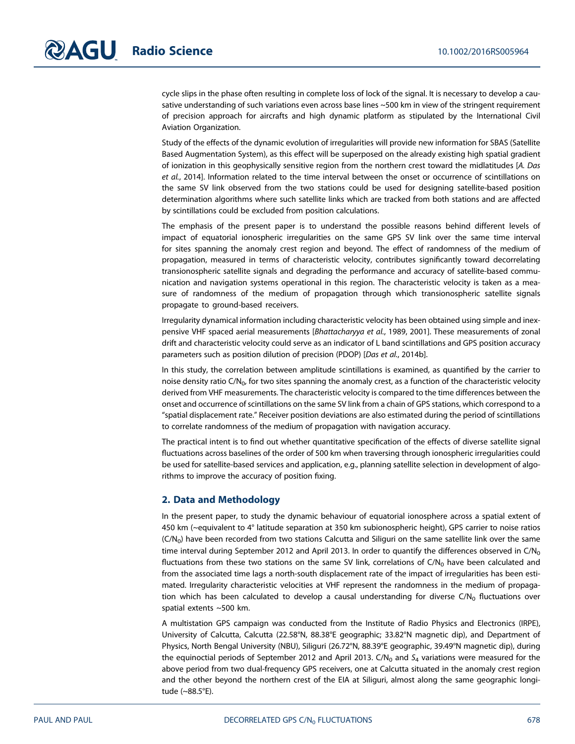cycle slips in the phase often resulting in complete loss of lock of the signal. It is necessary to develop a causative understanding of such variations even across base lines ~500 km in view of the stringent requirement of precision approach for aircrafts and high dynamic platform as stipulated by the International Civil Aviation Organization.

Study of the effects of the dynamic evolution of irregularities will provide new information for SBAS (Satellite Based Augmentation System), as this effect will be superposed on the already existing high spatial gradient of ionization in this geophysically sensitive region from the northern crest toward the midlatitudes [A. Das et al., 2014]. Information related to the time interval between the onset or occurrence of scintillations on the same SV link observed from the two stations could be used for designing satellite-based position determination algorithms where such satellite links which are tracked from both stations and are affected by scintillations could be excluded from position calculations.

The emphasis of the present paper is to understand the possible reasons behind different levels of impact of equatorial ionospheric irregularities on the same GPS SV link over the same time interval for sites spanning the anomaly crest region and beyond. The effect of randomness of the medium of propagation, measured in terms of characteristic velocity, contributes significantly toward decorrelating transionospheric satellite signals and degrading the performance and accuracy of satellite-based communication and navigation systems operational in this region. The characteristic velocity is taken as a measure of randomness of the medium of propagation through which transionospheric satellite signals propagate to ground-based receivers.

Irregularity dynamical information including characteristic velocity has been obtained using simple and inexpensive VHF spaced aerial measurements [Bhattacharyya et al., 1989, 2001]. These measurements of zonal drift and characteristic velocity could serve as an indicator of L band scintillations and GPS position accuracy parameters such as position dilution of precision (PDOP) [Das et al., 2014b].

In this study, the correlation between amplitude scintillations is examined, as quantified by the carrier to noise density ratio  $C/N_{0}$ , for two sites spanning the anomaly crest, as a function of the characteristic velocity derived from VHF measurements. The characteristic velocity is compared to the time differences between the onset and occurrence of scintillations on the same SV link from a chain of GPS stations, which correspond to a "spatial displacement rate." Receiver position deviations are also estimated during the period of scintillations to correlate randomness of the medium of propagation with navigation accuracy.

The practical intent is to find out whether quantitative specification of the effects of diverse satellite signal fluctuations across baselines of the order of 500 km when traversing through ionospheric irregularities could be used for satellite-based services and application, e.g., planning satellite selection in development of algorithms to improve the accuracy of position fixing.

## 2. Data and Methodology

In the present paper, to study the dynamic behaviour of equatorial ionosphere across a spatial extent of 450 km (~equivalent to 4° latitude separation at 350 km subionospheric height), GPS carrier to noise ratios  $(C/N<sub>0</sub>)$  have been recorded from two stations Calcutta and Siliguri on the same satellite link over the same time interval during September 2012 and April 2013. In order to quantify the differences observed in  $C/N_0$ fluctuations from these two stations on the same SV link, correlations of  $C/N_0$  have been calculated and from the associated time lags a north-south displacement rate of the impact of irregularities has been estimated. Irregularity characteristic velocities at VHF represent the randomness in the medium of propagation which has been calculated to develop a causal understanding for diverse  $C/N_0$  fluctuations over spatial extents ~500 km.

A multistation GPS campaign was conducted from the Institute of Radio Physics and Electronics (IRPE), University of Calcutta, Calcutta (22.58°N, 88.38°E geographic; 33.82°N magnetic dip), and Department of Physics, North Bengal University (NBU), Siliguri (26.72°N, 88.39°E geographic, 39.49°N magnetic dip), during the equinoctial periods of September 2012 and April 2013. C/N<sub>0</sub> and S<sub>4</sub> variations were measured for the above period from two dual-frequency GPS receivers, one at Calcutta situated in the anomaly crest region and the other beyond the northern crest of the EIA at Siliguri, almost along the same geographic longitude (~88.5°E).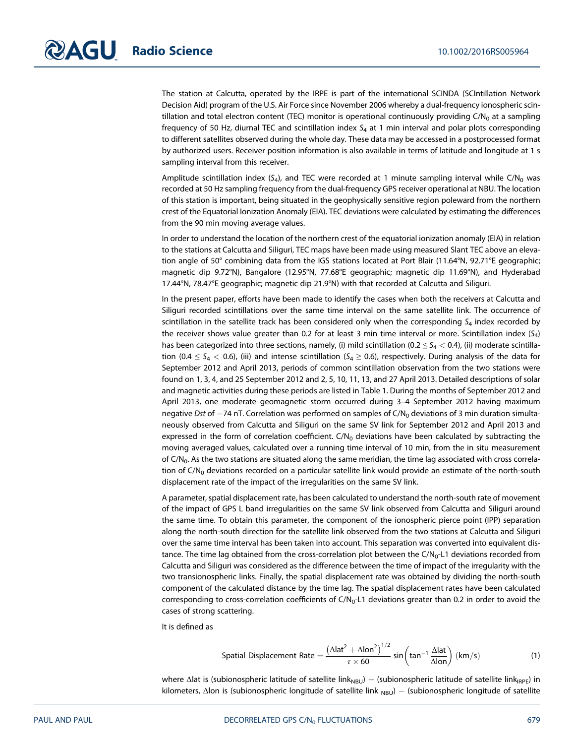The station at Calcutta, operated by the IRPE is part of the international SCINDA (SCIntillation Network Decision Aid) program of the U.S. Air Force since November 2006 whereby a dual-frequency ionospheric scintillation and total electron content (TEC) monitor is operational continuously providing  $C/N<sub>0</sub>$  at a sampling frequency of 50 Hz, diurnal TEC and scintillation index  $S_4$  at 1 min interval and polar plots corresponding to different satellites observed during the whole day. These data may be accessed in a postprocessed format by authorized users. Receiver position information is also available in terms of latitude and longitude at 1 s sampling interval from this receiver.

Amplitude scintillation index  $(S_4)$ , and TEC were recorded at 1 minute sampling interval while C/N<sub>0</sub> was recorded at 50 Hz sampling frequency from the dual-frequency GPS receiver operational at NBU. The location of this station is important, being situated in the geophysically sensitive region poleward from the northern crest of the Equatorial Ionization Anomaly (EIA). TEC deviations were calculated by estimating the differences from the 90 min moving average values.

In order to understand the location of the northern crest of the equatorial ionization anomaly (EIA) in relation to the stations at Calcutta and Siliguri, TEC maps have been made using measured Slant TEC above an elevation angle of 50° combining data from the IGS stations located at Port Blair (11.64°N, 92.71°E geographic; magnetic dip 9.72°N), Bangalore (12.95°N, 77.68°E geographic; magnetic dip 11.69°N), and Hyderabad 17.44°N, 78.47°E geographic; magnetic dip 21.9°N) with that recorded at Calcutta and Siliguri.

In the present paper, efforts have been made to identify the cases when both the receivers at Calcutta and Siliguri recorded scintillations over the same time interval on the same satellite link. The occurrence of scintillation in the satellite track has been considered only when the corresponding  $S<sub>4</sub>$  index recorded by the receiver shows value greater than 0.2 for at least 3 min time interval or more. Scintillation index  $(S_4)$ has been categorized into three sections, namely, (i) mild scintillation (0.2  $\leq$  S<sub>4</sub>  $<$  0.4), (ii) moderate scintillation (0.4  $\leq$  S<sub>4</sub>  $<$  0.6), (iii) and intense scintillation (S<sub>4</sub>  $\geq$  0.6), respectively. During analysis of the data for September 2012 and April 2013, periods of common scintillation observation from the two stations were found on 1, 3, 4, and 25 September 2012 and 2, 5, 10, 11, 13, and 27 April 2013. Detailed descriptions of solar and magnetic activities during these periods are listed in Table 1. During the months of September 2012 and April 2013, one moderate geomagnetic storm occurred during 3–4 September 2012 having maximum negative Dst of  $-74$  nT. Correlation was performed on samples of C/N<sub>0</sub> deviations of 3 min duration simultaneously observed from Calcutta and Siliguri on the same SV link for September 2012 and April 2013 and expressed in the form of correlation coefficient.  $C/N_0$  deviations have been calculated by subtracting the moving averaged values, calculated over a running time interval of 10 min, from the in situ measurement of C/N<sub>0</sub>. As the two stations are situated along the same meridian, the time lag associated with cross correlation of  $C/N_0$  deviations recorded on a particular satellite link would provide an estimate of the north-south displacement rate of the impact of the irregularities on the same SV link.

A parameter, spatial displacement rate, has been calculated to understand the north-south rate of movement of the impact of GPS L band irregularities on the same SV link observed from Calcutta and Siliguri around the same time. To obtain this parameter, the component of the ionospheric pierce point (IPP) separation along the north-south direction for the satellite link observed from the two stations at Calcutta and Siliguri over the same time interval has been taken into account. This separation was converted into equivalent distance. The time lag obtained from the cross-correlation plot between the  $C/N_0$ -L1 deviations recorded from Calcutta and Siliguri was considered as the difference between the time of impact of the irregularity with the two transionospheric links. Finally, the spatial displacement rate was obtained by dividing the north-south component of the calculated distance by the time lag. The spatial displacement rates have been calculated corresponding to cross-correlation coefficients of  $C/N_0$ -L1 deviations greater than 0.2 in order to avoid the cases of strong scattering.

It is defined as

$$
\text{Spatial Displacement Rate} = \frac{\left(\Delta \text{lat}^2 + \Delta \text{lon}^2\right)^{1/2}}{\tau \times 60} \sin \left(\text{tan}^{-1} \frac{\Delta \text{lat}}{\Delta \text{lon}}\right) \left(\text{km/s}\right) \tag{1}
$$

where  $\Delta$ lat is (subionospheric latitude of satellite link<sub>NBU</sub>) – (subionospheric latitude of satellite link<sub>IRPE</sub>) in kilometers, Δlon is (subionospheric longitude of satellite link <sub>NBU</sub>) – (subionospheric longitude of satellite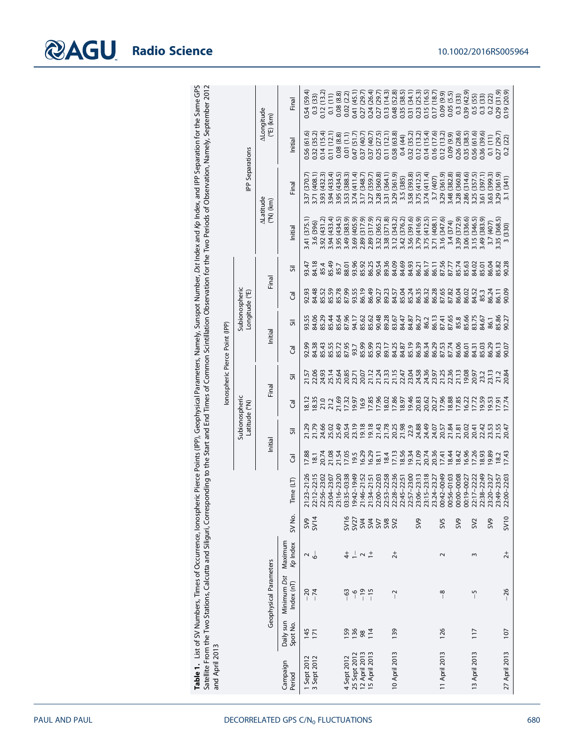| Table 1. List of SV Numbers, Times of Occurrence, lonospheric Pierce Points (IPP), Geophysical Parameters, Namely, Sunspot Number, Dst Index and Kp Index, and IPP Separation for the Same GPS<br>ponding to the Start and End Times of Common Scintillation Observation for the Two Periods of Observation, Namely, September 2012 | lonospheric Pierce Point (IPP) | Separations<br><b>P</b><br>Subionospheric<br>Longitude (°E)<br>subionospheric<br>Latitude (°N) | ALongitude<br>$(\text{em})$ (km)<br><b>ALatitude</b><br>$(M_0)$ (Km)<br>Final<br>Initial<br>Final | <b>Tinal</b><br>hitial<br>Final<br>Initial<br>╦<br>ె<br>╦<br>ె<br>╦<br>ె | 0.54 (59.4)<br>0.3 (33)<br>0.12 (13.2)<br>0.56 (61.6)<br>0.32 (35.2)<br>(370.7)<br>3.37<br>(375.1)<br>3.41<br>93.47<br>92.93<br>93.55<br>92.99<br>84.38<br>8.12<br>8.35<br>21.2<br>21.2 | (408.1)<br>3.71<br>(396)<br>3.6<br>34.18<br>34.48<br>34.06<br>21.57<br>22.93<br>24.93 | 0.14(15.4)<br>(432.3)<br>3.93<br>(431.2)<br>\$92<br>85.4<br>35.52<br><b>85.29</b><br>35.43 | 0.1(11)<br>(12.1)<br>$\overline{11}$<br>(433.4)<br>3.94<br>(433.4)<br>3.94<br>35.49<br>35.59<br>35.44<br>35.55<br>25.14 | 0.08 (8.8)<br>(8.8)<br>0.08<br>(434.5)<br>3.95<br>(434.5)<br>3.95<br>85.7<br>35.78<br>35.64<br>85.72<br>87.95<br>25.64<br>21.69<br>25.49 | 0.02(2.2)<br>(1.1)<br>0.01<br>(388.3)<br>(383.9)<br>3.49<br>88.01<br>87.99<br>87.96<br>20.85<br>17.32 | 0.41 (45.1)<br>0.27 (29.7)<br>0.24 (26.4)<br>0.27 (29.7)<br>(51.7)<br>(47)<br>(411.4)<br>$3.53$<br>$3.77$<br>$3.28$<br>$3.38$<br>(405.9)<br>3.69<br>93.96<br>93.55<br>86.19<br>86.49<br>94.17<br>93.7<br>19.97<br>16.9<br>17.85<br>20.54<br>23.19<br>19.18<br>21.43 | 1.04) 7.37<br>(348.7)<br>(317.9)<br>2.89<br>85.92<br>35.62<br>35.62<br>35.99 | 0.37 (40.7)<br>0.25 (27.5)<br>(359.7)<br>(317.9)<br>2.89<br>3.32<br>86.25<br>85.99<br>90.23 | (360.8)<br>(365.2)<br>90.54<br>90.27<br>90.48<br>17.96 | 0.13(14.3)<br>0.11(12.1)<br>(364.1)<br>3.31<br>(371.8)<br>3.38<br>89.36<br>89.23<br>89.28<br>89.17<br>21.78 | 0.58 (63.8)<br>(361.9)<br>3.29<br>(343.2)<br>3.12<br>84.09<br>83.67 | $0.48$ (52.8)<br>$0.35$ (38.5)<br>$0.31$ (34.1)<br>$0.23$ (25.3)<br>$0.15$ (16.5)<br>0.4(44)<br>(385)<br>3.5<br>3.58<br>3.74<br>3.74<br>(376.2)<br>3.42<br>3.56<br>3.75<br>84.69<br>84.93<br>84.57<br>85.04<br>85.24<br>84.47<br>84.87<br>86.27<br>35<br>355<br>3653<br>3653<br>18.02<br>17.86<br>19.46<br>20.62<br>20.62<br>20.25<br>21.98<br>22.9<br>24.88<br>24.49 | 0.32 (35.2)<br>(393.8)<br>(391.6) | 0.12(13.2)<br>(412.5)<br>(416.9)<br>86.21 | 0.14(15.4)<br>(411.4)<br>(412.5)<br>86.17<br>86.35<br>86.32<br>86.28<br>86.2 | 0.17 (18.7<br>0.16 (17.6)<br>(407)<br>(408.1)<br>3.71<br>86.11<br>86.13<br>23.97<br>20.27<br>24.07 | $(6.6)$ 60'0<br>0.12(13.2)<br>(361.9)<br>3.29<br>(347.6)<br>3.16<br>87.65<br>87.41<br>87.65<br>87.53<br>87.74<br>21.25 | 0.05(5.5)<br>$(6.6)$ $(6.0)$<br>(382.8)<br>3.48<br>(374)<br>3.39<br>87.56<br>87.77<br>85.74<br>87.82<br>22.36 | $0.3(33)$<br>$0.39(42.9)$<br>0.26 (28.6)<br>(360.8)<br>3.28<br>(372.9)<br>86.04<br>86.06 | 0.35 (38.5)<br>(314.6)<br>086<br>(336.6)<br>3.06<br>85.63<br>86.02<br>84.52<br>85.8<br>35.66<br>33.75<br>86.01<br>21.13<br>19.08<br>20.97<br>17.96<br>18.88<br>16.27<br>19.59 | $0.5(55)$<br>$0.3(33)$<br>0.56 (61.6)<br>(357.5)<br>3.25<br>3.15 (346.5)<br>84.02<br>84.31 | 0.36 (39.6)<br>(397.1)<br>3.61<br>8.49 (383.9)<br>85.01<br>85.3<br>84.67<br>85.03<br>23.2 | 0.2(22)<br>0.1(11)<br>(399.3)<br>8.63<br>3.7 (407)<br>86.04<br>36.24<br>86.1<br>86.29<br>23.13 | 0.29 (31.9)<br>(29.7)<br>0.27<br>(361.9)<br>3.29<br>3.35 (368.5)<br>85.82<br>90.28<br>36.11<br>35.86<br>90.27<br>86.13<br>90.07<br>21.2<br>20.84<br>19.57<br>17.51<br>17.74 | 0.19 (20.9)<br>(22)<br>0.2<br>(341)<br>$\overline{3.1}$<br>330)<br>$\sim$<br>90.09 |
|-------------------------------------------------------------------------------------------------------------------------------------------------------------------------------------------------------------------------------------------------------------------------------------------------------------------------------------|--------------------------------|------------------------------------------------------------------------------------------------|---------------------------------------------------------------------------------------------------|--------------------------------------------------------------------------|-----------------------------------------------------------------------------------------------------------------------------------------------------------------------------------------|---------------------------------------------------------------------------------------|--------------------------------------------------------------------------------------------|-------------------------------------------------------------------------------------------------------------------------|------------------------------------------------------------------------------------------------------------------------------------------|-------------------------------------------------------------------------------------------------------|---------------------------------------------------------------------------------------------------------------------------------------------------------------------------------------------------------------------------------------------------------------------|------------------------------------------------------------------------------|---------------------------------------------------------------------------------------------|--------------------------------------------------------|-------------------------------------------------------------------------------------------------------------|---------------------------------------------------------------------|-----------------------------------------------------------------------------------------------------------------------------------------------------------------------------------------------------------------------------------------------------------------------------------------------------------------------------------------------------------------------|-----------------------------------|-------------------------------------------|------------------------------------------------------------------------------|----------------------------------------------------------------------------------------------------|------------------------------------------------------------------------------------------------------------------------|---------------------------------------------------------------------------------------------------------------|------------------------------------------------------------------------------------------|-------------------------------------------------------------------------------------------------------------------------------------------------------------------------------|--------------------------------------------------------------------------------------------|-------------------------------------------------------------------------------------------|------------------------------------------------------------------------------------------------|-----------------------------------------------------------------------------------------------------------------------------------------------------------------------------|------------------------------------------------------------------------------------|
|                                                                                                                                                                                                                                                                                                                                     |                                |                                                                                                |                                                                                                   |                                                                          |                                                                                                                                                                                         |                                                                                       |                                                                                            |                                                                                                                         |                                                                                                                                          |                                                                                                       |                                                                                                                                                                                                                                                                     |                                                                              |                                                                                             |                                                        |                                                                                                             |                                                                     |                                                                                                                                                                                                                                                                                                                                                                       |                                   |                                           |                                                                              |                                                                                                    |                                                                                                                        |                                                                                                               |                                                                                          |                                                                                                                                                                               |                                                                                            |                                                                                           |                                                                                                |                                                                                                                                                                             |                                                                                    |
|                                                                                                                                                                                                                                                                                                                                     |                                |                                                                                                |                                                                                                   |                                                                          |                                                                                                                                                                                         |                                                                                       |                                                                                            |                                                                                                                         |                                                                                                                                          |                                                                                                       |                                                                                                                                                                                                                                                                     |                                                                              |                                                                                             |                                                        |                                                                                                             |                                                                     |                                                                                                                                                                                                                                                                                                                                                                       |                                   |                                           |                                                                              |                                                                                                    |                                                                                                                        |                                                                                                               |                                                                                          |                                                                                                                                                                               |                                                                                            |                                                                                           |                                                                                                |                                                                                                                                                                             |                                                                                    |
|                                                                                                                                                                                                                                                                                                                                     |                                |                                                                                                |                                                                                                   |                                                                          |                                                                                                                                                                                         |                                                                                       |                                                                                            |                                                                                                                         |                                                                                                                                          |                                                                                                       |                                                                                                                                                                                                                                                                     |                                                                              |                                                                                             |                                                        |                                                                                                             |                                                                     |                                                                                                                                                                                                                                                                                                                                                                       |                                   |                                           |                                                                              |                                                                                                    |                                                                                                                        |                                                                                                               |                                                                                          |                                                                                                                                                                               |                                                                                            |                                                                                           |                                                                                                |                                                                                                                                                                             |                                                                                    |
|                                                                                                                                                                                                                                                                                                                                     |                                |                                                                                                |                                                                                                   |                                                                          |                                                                                                                                                                                         |                                                                                       |                                                                                            |                                                                                                                         |                                                                                                                                          |                                                                                                       |                                                                                                                                                                                                                                                                     |                                                                              |                                                                                             |                                                        |                                                                                                             |                                                                     |                                                                                                                                                                                                                                                                                                                                                                       |                                   |                                           |                                                                              |                                                                                                    |                                                                                                                        |                                                                                                               |                                                                                          |                                                                                                                                                                               |                                                                                            |                                                                                           |                                                                                                |                                                                                                                                                                             |                                                                                    |
|                                                                                                                                                                                                                                                                                                                                     |                                |                                                                                                |                                                                                                   |                                                                          |                                                                                                                                                                                         |                                                                                       |                                                                                            |                                                                                                                         |                                                                                                                                          |                                                                                                       |                                                                                                                                                                                                                                                                     |                                                                              |                                                                                             |                                                        |                                                                                                             |                                                                     |                                                                                                                                                                                                                                                                                                                                                                       |                                   |                                           |                                                                              |                                                                                                    |                                                                                                                        |                                                                                                               |                                                                                          |                                                                                                                                                                               |                                                                                            |                                                                                           |                                                                                                |                                                                                                                                                                             |                                                                                    |
|                                                                                                                                                                                                                                                                                                                                     |                                |                                                                                                |                                                                                                   |                                                                          |                                                                                                                                                                                         |                                                                                       |                                                                                            |                                                                                                                         |                                                                                                                                          |                                                                                                       |                                                                                                                                                                                                                                                                     |                                                                              |                                                                                             |                                                        |                                                                                                             |                                                                     |                                                                                                                                                                                                                                                                                                                                                                       |                                   |                                           |                                                                              |                                                                                                    |                                                                                                                        |                                                                                                               |                                                                                          |                                                                                                                                                                               |                                                                                            |                                                                                           |                                                                                                |                                                                                                                                                                             |                                                                                    |
|                                                                                                                                                                                                                                                                                                                                     |                                |                                                                                                | Initial                                                                                           | ╦                                                                        | 21.29                                                                                                                                                                                   | 21.79                                                                                 | 24.66                                                                                      | 25.02                                                                                                                   |                                                                                                                                          |                                                                                                       |                                                                                                                                                                                                                                                                     |                                                                              |                                                                                             |                                                        |                                                                                                             |                                                                     |                                                                                                                                                                                                                                                                                                                                                                       |                                   |                                           |                                                                              |                                                                                                    | 20.57                                                                                                                  | 21.84                                                                                                         |                                                                                          | 21.81<br>20.02<br>20.41                                                                                                                                                       |                                                                                            | 22.42                                                                                     | 23.53                                                                                          | 21.55<br>20.47                                                                                                                                                              |                                                                                    |
|                                                                                                                                                                                                                                                                                                                                     |                                |                                                                                                |                                                                                                   | ె                                                                        | 17.88                                                                                                                                                                                   | 18.1                                                                                  | 20.74                                                                                      | 21.08                                                                                                                   | 21.54                                                                                                                                    | 17.05                                                                                                 | <b>19.5</b>                                                                                                                                                                                                                                                         | 6.29                                                                         | 6.29                                                                                        | 8.11                                                   | 18.4                                                                                                        | 17.13                                                               | 8.56                                                                                                                                                                                                                                                                                                                                                                  | 19.34<br>21.09                    |                                           | 20.74                                                                        | 20.36                                                                                              | 17.41                                                                                                                  | 8.44                                                                                                          | 8.42                                                                                     | 6.96                                                                                                                                                                          | 17.26                                                                                      | 8.93                                                                                      | 9.89                                                                                           | 18.2                                                                                                                                                                        | 17.43                                                                              |
|                                                                                                                                                                                                                                                                                                                                     |                                |                                                                                                |                                                                                                   | Time (LT)                                                                | $:23 - 21:26$                                                                                                                                                                           | 22:12-22:15                                                                           | 22:56-23:02<br>23:04-23:07                                                                 |                                                                                                                         | 23:16-23:20                                                                                                                              | 3:35-03:38                                                                                            | 19:42-19:49                                                                                                                                                                                                                                                         | $:46 - 21:52$                                                                | $:34 - 21:51$                                                                               | $2:00 - 22:03$                                         | 22:53-22:58                                                                                                 | 22:28-22:36                                                         | $2:45 - 22:51$                                                                                                                                                                                                                                                                                                                                                        | 2:57-23:00                        | 23:06-23:13                               | $3:15 - 23:18$                                                               | $3.24 - 23.27$<br>$\ddot{\sim}$                                                                    | 00:42-00:49                                                                                                            | 00:56-01:03                                                                                                   | 00:00-00:08                                                                              | 00:19-00:27<br>22:17-22:22                                                                                                                                                    |                                                                                            | 2:38-22:49                                                                                | 23:20-23:27                                                                                    | 23:49-23:57                                                                                                                                                                 | 22:00-22:03                                                                        |
|                                                                                                                                                                                                                                                                                                                                     |                                |                                                                                                |                                                                                                   | SV No.                                                                   | SV9                                                                                                                                                                                     | SV14                                                                                  |                                                                                            |                                                                                                                         |                                                                                                                                          |                                                                                                       | 523335                                                                                                                                                                                                                                                              |                                                                              |                                                                                             |                                                        | SV <sub>3</sub>                                                                                             |                                                                     |                                                                                                                                                                                                                                                                                                                                                                       |                                   | SV9                                       |                                                                              |                                                                                                    | SV5                                                                                                                    |                                                                                                               | SV9                                                                                      |                                                                                                                                                                               | SV <sub>2</sub>                                                                            |                                                                                           | SV9                                                                                            |                                                                                                                                                                             | SV <sub>10</sub>                                                                   |
|                                                                                                                                                                                                                                                                                                                                     |                                |                                                                                                |                                                                                                   | Maximum<br>Kp Index                                                      | $\sim$ $\frac{1}{6}$                                                                                                                                                                    |                                                                                       |                                                                                            |                                                                                                                         |                                                                                                                                          | $\ddot{ }$                                                                                            | $\frac{1}{2}$ $\sim$ $\frac{1}{2}$                                                                                                                                                                                                                                  |                                                                              |                                                                                             |                                                        |                                                                                                             | $\overline{2}$ +                                                    |                                                                                                                                                                                                                                                                                                                                                                       |                                   |                                           |                                                                              |                                                                                                    | $\sim$                                                                                                                 |                                                                                                               |                                                                                          |                                                                                                                                                                               | $\sim$                                                                                     |                                                                                           |                                                                                                |                                                                                                                                                                             | $\overline{2}$ +                                                                   |
| Satellite From the Two Stations, Calcutta and Siliguri, Corresp                                                                                                                                                                                                                                                                     |                                | Geophysical Parameters                                                                         |                                                                                                   | Minimum Dst<br>Index (nT)                                                | $-20$<br>$-74$                                                                                                                                                                          |                                                                                       |                                                                                            |                                                                                                                         |                                                                                                                                          | $-63$                                                                                                 | $\frac{6}{1}$                                                                                                                                                                                                                                                       | $-19$                                                                        | $-15$                                                                                       |                                                        |                                                                                                             | $\overline{a}$                                                      |                                                                                                                                                                                                                                                                                                                                                                       |                                   |                                           |                                                                              |                                                                                                    | $-8$                                                                                                                   |                                                                                                               |                                                                                          |                                                                                                                                                                               | $-5$                                                                                       |                                                                                           |                                                                                                |                                                                                                                                                                             | $-26$                                                                              |
|                                                                                                                                                                                                                                                                                                                                     |                                |                                                                                                |                                                                                                   | Daily sun<br>Spot No.                                                    | $145$<br>171                                                                                                                                                                            |                                                                                       |                                                                                            |                                                                                                                         |                                                                                                                                          | 159                                                                                                   | 136                                                                                                                                                                                                                                                                 | 98                                                                           | 114                                                                                         |                                                        |                                                                                                             | 139                                                                 |                                                                                                                                                                                                                                                                                                                                                                       |                                   |                                           |                                                                              |                                                                                                    | 126                                                                                                                    |                                                                                                               |                                                                                          |                                                                                                                                                                               | 117                                                                                        |                                                                                           |                                                                                                |                                                                                                                                                                             | 107                                                                                |
| and April 2013                                                                                                                                                                                                                                                                                                                      |                                |                                                                                                |                                                                                                   | Campaign<br>Period                                                       | 1 Sept 2012<br>3 Sept 2012                                                                                                                                                              |                                                                                       |                                                                                            |                                                                                                                         |                                                                                                                                          | 4 Sept 2012                                                                                           | 25 Sept 2012                                                                                                                                                                                                                                                        | 12 April 2013                                                                | 15 April 2013                                                                               |                                                        |                                                                                                             | 10 April 2013                                                       |                                                                                                                                                                                                                                                                                                                                                                       |                                   |                                           |                                                                              |                                                                                                    | 11 April 2013                                                                                                          |                                                                                                               |                                                                                          |                                                                                                                                                                               | 13 April 2013                                                                              |                                                                                           |                                                                                                |                                                                                                                                                                             | 27 April 2013                                                                      |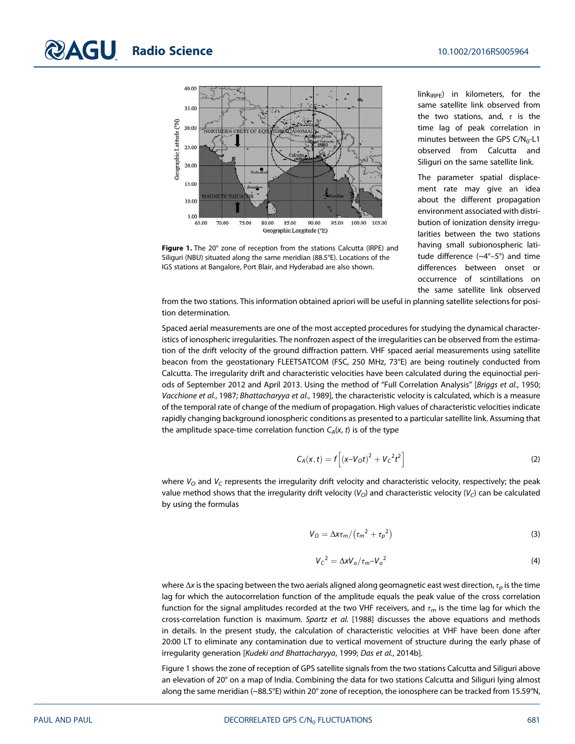

Figure 1. The 20° zone of reception from the stations Calcutta (IRPE) and Siliguri (NBU) situated along the same meridian (88.5°E). Locations of the IGS stations at Bangalore, Port Blair, and Hyderabad are also shown.

 $link_{IRPE}$ ) in kilometers, for the same satellite link observed from the two stations, and,  $\tau$  is the time lag of peak correlation in minutes between the GPS  $C/N_0$ -L1 observed from Calcutta and Siliguri on the same satellite link.

The parameter spatial displacement rate may give an idea about the different propagation environment associated with distribution of ionization density irregularities between the two stations having small subionospheric latitude difference (~4°–5°) and time differences between onset or occurrence of scintillations on the same satellite link observed

from the two stations. This information obtained apriori will be useful in planning satellite selections for position determination.

Spaced aerial measurements are one of the most accepted procedures for studying the dynamical characteristics of ionospheric irregularities. The nonfrozen aspect of the irregularities can be observed from the estimation of the drift velocity of the ground diffraction pattern. VHF spaced aerial measurements using satellite beacon from the geostationary FLEETSATCOM (FSC, 250 MHz, 73°E) are being routinely conducted from Calcutta. The irregularity drift and characteristic velocities have been calculated during the equinoctial periods of September 2012 and April 2013. Using the method of "Full Correlation Analysis" [Briggs et al., 1950; Vacchione et al., 1987; Bhattacharyya et al., 1989], the characteristic velocity is calculated, which is a measure of the temporal rate of change of the medium of propagation. High values of characteristic velocities indicate rapidly changing background ionospheric conditions as presented to a particular satellite link. Assuming that the amplitude space-time correlation function  $C_A(x, t)$  is of the type

$$
C_A(x,t) = f\left[ (x - V_0 t)^2 + V_c^2 t^2 \right]
$$
 (2)

where  $V_O$  and  $V_C$  represents the irregularity drift velocity and characteristic velocity, respectively; the peak value method shows that the irregularity drift velocity ( $V_O$ ) and characteristic velocity ( $V_C$ ) can be calculated by using the formulas

$$
V_O = \Delta x \tau_m / (\tau_m^2 + \tau_p^2)
$$
 (3)

$$
V_{\rm C}{}^2 = \Delta x V_{\rm o} / \tau_{\rm m} - V_{\rm o}{}^2 \tag{4}
$$

where  $\Delta x$  is the spacing between the two aerials aligned along geomagnetic east west direction,  $\tau_p$  is the time lag for which the autocorrelation function of the amplitude equals the peak value of the cross correlation function for the signal amplitudes recorded at the two VHF receivers, and  $\tau_m$  is the time lag for which the cross-correlation function is maximum. Spartz et al. [1988] discusses the above equations and methods in details. In the present study, the calculation of characteristic velocities at VHF have been done after 20:00 LT to eliminate any contamination due to vertical movement of structure during the early phase of irregularity generation [Kudeki and Bhattacharyya, 1999; Das et al., 2014b].

Figure 1 shows the zone of reception of GPS satellite signals from the two stations Calcutta and Siliguri above an elevation of 20° on a map of India. Combining the data for two stations Calcutta and Siliguri lying almost along the same meridian (~88.5°E) within 20° zone of reception, the ionosphere can be tracked from 15.59°N,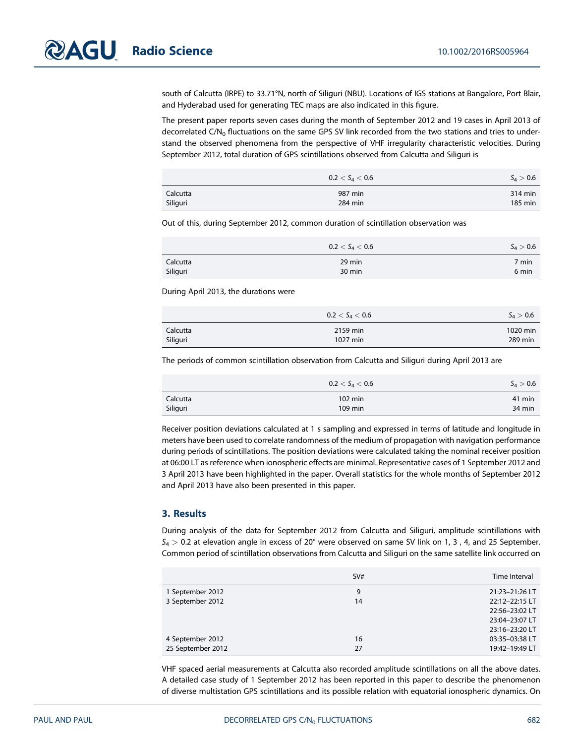south of Calcutta (IRPE) to 33.71°N, north of Siliguri (NBU). Locations of IGS stations at Bangalore, Port Blair, and Hyderabad used for generating TEC maps are also indicated in this figure.

The present paper reports seven cases during the month of September 2012 and 19 cases in April 2013 of decorrelated C/N<sub>0</sub> fluctuations on the same GPS SV link recorded from the two stations and tries to understand the observed phenomena from the perspective of VHF irregularity characteristic velocities. During September 2012, total duration of GPS scintillations observed from Calcutta and Siliguri is

|          | $0.2 < \mathsf{S}_4 < 0.6$ | $S_4 > 0.6$ |
|----------|----------------------------|-------------|
| Calcutta | 987 min                    | 314 min     |
| Siliguri | 284 min                    | 185 min     |

Out of this, during September 2012, common duration of scintillation observation was

|          | $0.2 < \mathsf{S}_4 < 0.6$ | $S_4 > 0.6$     |
|----------|----------------------------|-----------------|
| Calcutta | 29 min                     | $7 \text{ min}$ |
| Siliguri | 30 min                     | 6 min           |

During April 2013, the durations were

|          | $0.2 < S_4 < 0.6$ | $S_A > 0.6$ |
|----------|-------------------|-------------|
| Calcutta | 2159 min          | 1020 min    |
| Siliguri | 1027 min          | 289 min     |

The periods of common scintillation observation from Calcutta and Siliguri during April 2013 are

|          | $0.2 < \mathsf{S}_4 < 0.6$ | $S_4 > 0.6$ |
|----------|----------------------------|-------------|
| Calcutta | $102 \text{ min}$          | 41 min      |
| Siliguri | 109 min                    | 34 min      |

Receiver position deviations calculated at 1 s sampling and expressed in terms of latitude and longitude in meters have been used to correlate randomness of the medium of propagation with navigation performance during periods of scintillations. The position deviations were calculated taking the nominal receiver position at 06:00 LT as reference when ionospheric effects are minimal. Representative cases of 1 September 2012 and 3 April 2013 have been highlighted in the paper. Overall statistics for the whole months of September 2012 and April 2013 have also been presented in this paper.

# 3. Results

During analysis of the data for September 2012 from Calcutta and Siliguri, amplitude scintillations with  $S_4 > 0.2$  at elevation angle in excess of 20° were observed on same SV link on 1, 3, 4, and 25 September. Common period of scintillation observations from Calcutta and Siliguri on the same satellite link occurred on

|                   | SV# | Time Interval  |
|-------------------|-----|----------------|
| 1 September 2012  | 9   | 21:23-21:26 LT |
| 3 September 2012  | 14  | 22:12-22:15 LT |
|                   |     | 22:56-23:02 LT |
|                   |     | 23:04-23:07 LT |
|                   |     | 23:16-23:20 LT |
| 4 September 2012  | 16  | 03:35-03:38 LT |
| 25 September 2012 | 27  | 19:42-19:49 LT |

VHF spaced aerial measurements at Calcutta also recorded amplitude scintillations on all the above dates. A detailed case study of 1 September 2012 has been reported in this paper to describe the phenomenon of diverse multistation GPS scintillations and its possible relation with equatorial ionospheric dynamics. On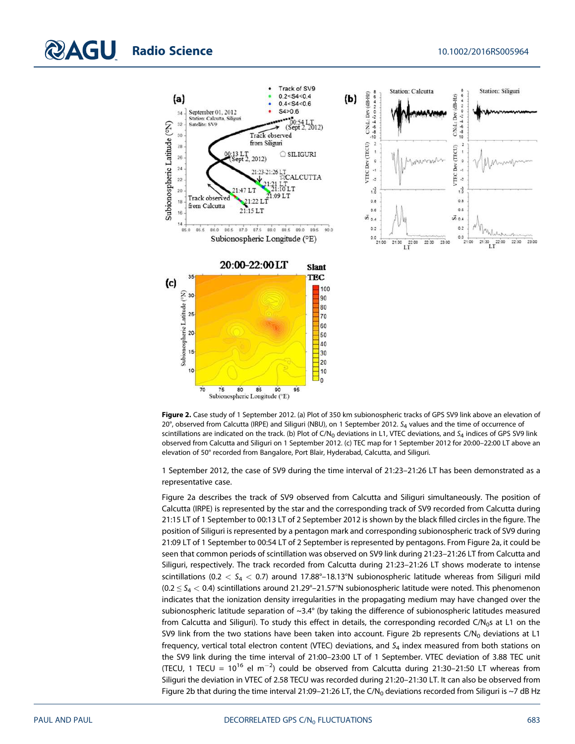





1 September 2012, the case of SV9 during the time interval of 21:23–21:26 LT has been demonstrated as a representative case.

Figure 2a describes the track of SV9 observed from Calcutta and Siliguri simultaneously. The position of Calcutta (IRPE) is represented by the star and the corresponding track of SV9 recorded from Calcutta during 21:15 LT of 1 September to 00:13 LT of 2 September 2012 is shown by the black filled circles in the figure. The position of Siliguri is represented by a pentagon mark and corresponding subionospheric track of SV9 during 21:09 LT of 1 September to 00:54 LT of 2 September is represented by pentagons. From Figure 2a, it could be seen that common periods of scintillation was observed on SV9 link during 21:23–21:26 LT from Calcutta and Siliguri, respectively. The track recorded from Calcutta during 21:23–21:26 LT shows moderate to intense scintillations ( $0.2 < S_4 < 0.7$ ) around 17.88°–18.13°N subionospheric latitude whereas from Siliguri mild  $(0.2 \le S_4 < 0.4)$  scintillations around 21.29°–21.57°N subionospheric latitude were noted. This phenomenon indicates that the ionization density irregularities in the propagating medium may have changed over the subionospheric latitude separation of  $\sim$ 3.4 $\degree$  (by taking the difference of subionospheric latitudes measured from Calcutta and Siliguri). To study this effect in details, the corresponding recorded  $C/N<sub>0</sub>$ s at L1 on the SV9 link from the two stations have been taken into account. Figure 2b represents  $C/N_0$  deviations at L1 frequency, vertical total electron content (VTEC) deviations, and  $S_4$  index measured from both stations on the SV9 link during the time interval of 21:00–23:00 LT of 1 September. VTEC deviation of 3.88 TEC unit (TECU, 1 TECU =  $10^{16}$  el m<sup>-2</sup>) could be observed from Calcutta during 21:30-21:50 LT whereas from Siliguri the deviation in VTEC of 2.58 TECU was recorded during 21:20–21:30 LT. It can also be observed from Figure 2b that during the time interval 21:09-21:26 LT, the C/N<sub>0</sub> deviations recorded from Siliguri is ~7 dB Hz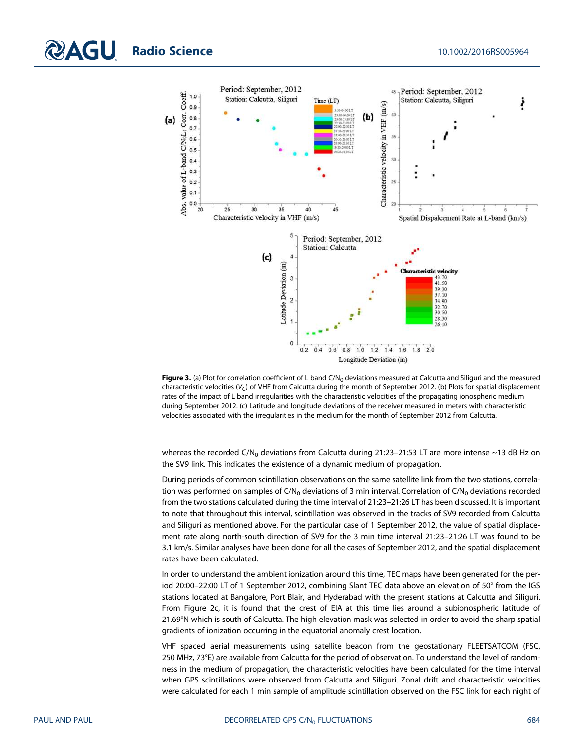

Figure 3. (a) Plot for correlation coefficient of L band C/N<sub>0</sub> deviations measured at Calcutta and Siliguri and the measured characteristic velocities ( $V_C$ ) of VHF from Calcutta during the month of September 2012. (b) Plots for spatial displacement rates of the impact of L band irregularities with the characteristic velocities of the propagating ionospheric medium during September 2012. (c) Latitude and longitude deviations of the receiver measured in meters with characteristic velocities associated with the irregularities in the medium for the month of September 2012 from Calcutta.

whereas the recorded C/N<sub>0</sub> deviations from Calcutta during 21:23-21:53 LT are more intense ~13 dB Hz on the SV9 link. This indicates the existence of a dynamic medium of propagation.

During periods of common scintillation observations on the same satellite link from the two stations, correlation was performed on samples of  $C/N_0$  deviations of 3 min interval. Correlation of  $C/N_0$  deviations recorded from the two stations calculated during the time interval of 21:23–21:26 LT has been discussed. It is important to note that throughout this interval, scintillation was observed in the tracks of SV9 recorded from Calcutta and Siliguri as mentioned above. For the particular case of 1 September 2012, the value of spatial displacement rate along north-south direction of SV9 for the 3 min time interval 21:23–21:26 LT was found to be 3.1 km/s. Similar analyses have been done for all the cases of September 2012, and the spatial displacement rates have been calculated.

In order to understand the ambient ionization around this time, TEC maps have been generated for the period 20:00–22:00 LT of 1 September 2012, combining Slant TEC data above an elevation of 50° from the IGS stations located at Bangalore, Port Blair, and Hyderabad with the present stations at Calcutta and Siliguri. From Figure 2c, it is found that the crest of EIA at this time lies around a subionospheric latitude of 21.69°N which is south of Calcutta. The high elevation mask was selected in order to avoid the sharp spatial gradients of ionization occurring in the equatorial anomaly crest location.

VHF spaced aerial measurements using satellite beacon from the geostationary FLEETSATCOM (FSC, 250 MHz, 73°E) are available from Calcutta for the period of observation. To understand the level of randomness in the medium of propagation, the characteristic velocities have been calculated for the time interval when GPS scintillations were observed from Calcutta and Siliguri. Zonal drift and characteristic velocities were calculated for each 1 min sample of amplitude scintillation observed on the FSC link for each night of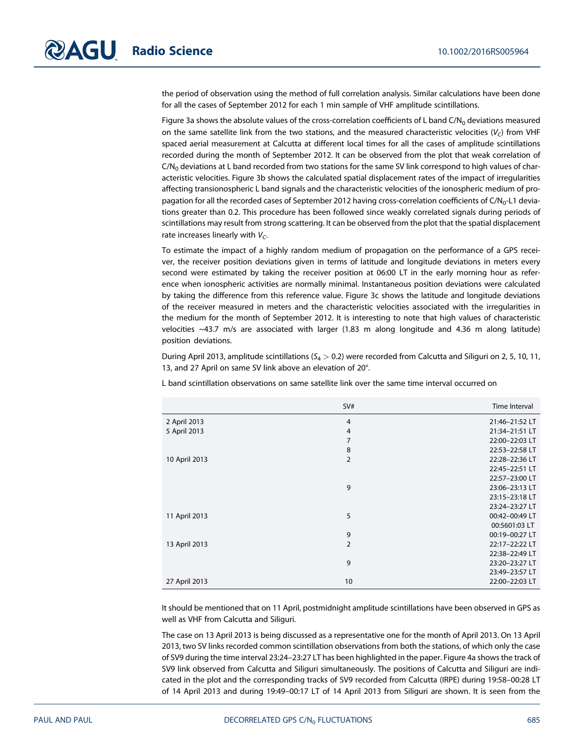the period of observation using the method of full correlation analysis. Similar calculations have been done for all the cases of September 2012 for each 1 min sample of VHF amplitude scintillations.

Figure 3a shows the absolute values of the cross-correlation coefficients of L band  $C/N<sub>0</sub>$  deviations measured on the same satellite link from the two stations, and the measured characteristic velocities ( $V_C$ ) from VHF spaced aerial measurement at Calcutta at different local times for all the cases of amplitude scintillations recorded during the month of September 2012. It can be observed from the plot that weak correlation of  $C/N<sub>0</sub>$  deviations at L band recorded from two stations for the same SV link correspond to high values of characteristic velocities. Figure 3b shows the calculated spatial displacement rates of the impact of irregularities affecting transionospheric L band signals and the characteristic velocities of the ionospheric medium of propagation for all the recorded cases of September 2012 having cross-correlation coefficients of C/N<sub>0</sub>-L1 deviations greater than 0.2. This procedure has been followed since weakly correlated signals during periods of scintillations may result from strong scattering. It can be observed from the plot that the spatial displacement rate increases linearly with  $V_C$ .

To estimate the impact of a highly random medium of propagation on the performance of a GPS receiver, the receiver position deviations given in terms of latitude and longitude deviations in meters every second were estimated by taking the receiver position at 06:00 LT in the early morning hour as reference when ionospheric activities are normally minimal. Instantaneous position deviations were calculated by taking the difference from this reference value. Figure 3c shows the latitude and longitude deviations of the receiver measured in meters and the characteristic velocities associated with the irregularities in the medium for the month of September 2012. It is interesting to note that high values of characteristic velocities ~43.7 m/s are associated with larger (1.83 m along longitude and 4.36 m along latitude) position deviations.

During April 2013, amplitude scintillations ( $S_4 > 0.2$ ) were recorded from Calcutta and Siliguri on 2, 5, 10, 11, 13, and 27 April on same SV link above an elevation of 20°.

L band scintillation observations on same satellite link over the same time interval occurred on

|               | SV#            | Time Interval  |
|---------------|----------------|----------------|
| 2 April 2013  | $\overline{4}$ | 21:46-21:52 LT |
| 5 April 2013  | $\overline{4}$ | 21:34-21:51 LT |
|               | 7              | 22:00-22:03 LT |
|               | 8              | 22:53-22:58 LT |
| 10 April 2013 | $\overline{2}$ | 22:28-22:36 LT |
|               |                | 22:45-22:51 LT |
|               |                | 22:57-23:00 LT |
|               | 9              | 23:06-23:13 LT |
|               |                | 23:15-23:18 LT |
|               |                | 23:24-23:27 LT |
| 11 April 2013 | 5              | 00:42-00:49 LT |
|               |                | 00:5601:03 LT  |
|               | 9              | 00:19-00:27 LT |
| 13 April 2013 | $\overline{2}$ | 22:17-22:22 LT |
|               |                | 22:38-22:49 LT |
|               | 9              | 23:20-23:27 LT |
|               |                | 23:49-23:57 LT |
| 27 April 2013 | 10             | 22:00-22:03 LT |

It should be mentioned that on 11 April, postmidnight amplitude scintillations have been observed in GPS as well as VHF from Calcutta and Siliguri.

The case on 13 April 2013 is being discussed as a representative one for the month of April 2013. On 13 April 2013, two SV links recorded common scintillation observations from both the stations, of which only the case of SV9 during the time interval 23:24–23:27 LT has been highlighted in the paper. Figure 4a shows the track of SV9 link observed from Calcutta and Siliguri simultaneously. The positions of Calcutta and Siliguri are indicated in the plot and the corresponding tracks of SV9 recorded from Calcutta (IRPE) during 19:58–00:28 LT of 14 April 2013 and during 19:49–00:17 LT of 14 April 2013 from Siliguri are shown. It is seen from the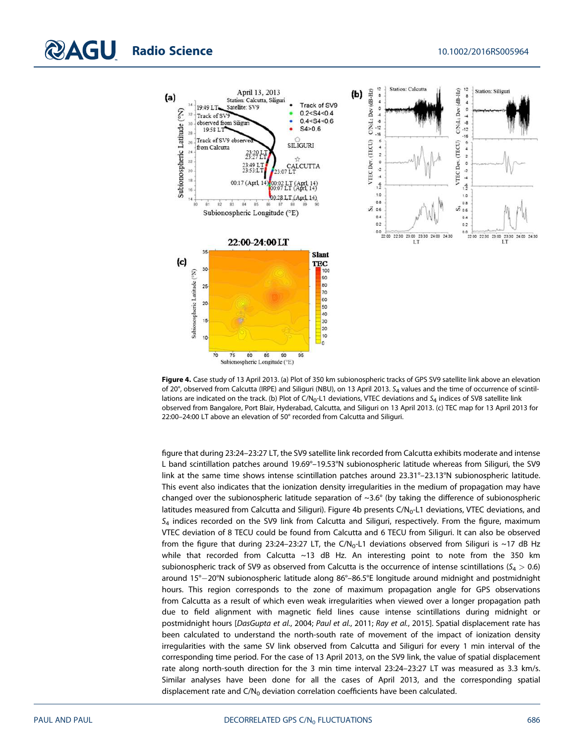

Figure 4. Case study of 13 April 2013. (a) Plot of 350 km subionospheric tracks of GPS SV9 satellite link above an elevation of 20°, observed from Calcutta (IRPE) and Siliguri (NBU), on 13 April 2013. S<sub>4</sub> values and the time of occurrence of scintillations are indicated on the track. (b) Plot of C/N<sub>0</sub>-L1 deviations, VTEC deviations and  $S_4$  indices of SV8 satellite link observed from Bangalore, Port Blair, Hyderabad, Calcutta, and Siliguri on 13 April 2013. (c) TEC map for 13 April 2013 for 22:00–24:00 LT above an elevation of 50° recorded from Calcutta and Siliguri.

figure that during 23:24–23:27 LT, the SV9 satellite link recorded from Calcutta exhibits moderate and intense L band scintillation patches around 19.69°–19.53°N subionospheric latitude whereas from Siliguri, the SV9 link at the same time shows intense scintillation patches around 23.31°–23.13°N subionospheric latitude. This event also indicates that the ionization density irregularities in the medium of propagation may have changed over the subionospheric latitude separation of ~3.6° (by taking the difference of subionospheric latitudes measured from Calcutta and Siliguri). Figure 4b presents C/N<sub>0</sub>-L1 deviations, VTEC deviations, and  $S_4$  indices recorded on the SV9 link from Calcutta and Siliguri, respectively. From the figure, maximum VTEC deviation of 8 TECU could be found from Calcutta and 6 TECU from Siliguri. It can also be observed from the figure that during 23:24-23:27 LT, the  $C/N_0$ -L1 deviations observed from Siliguri is ~17 dB Hz while that recorded from Calcutta ~13 dB Hz. An interesting point to note from the 350 km subionospheric track of SV9 as observed from Calcutta is the occurrence of intense scintillations ( $S_4 > 0.6$ ) around 15°-20°N subionospheric latitude along 86°-86.5°E longitude around midnight and postmidnight hours. This region corresponds to the zone of maximum propagation angle for GPS observations from Calcutta as a result of which even weak irregularities when viewed over a longer propagation path due to field alignment with magnetic field lines cause intense scintillations during midnight or postmidnight hours [DasGupta et al., 2004; Paul et al., 2011; Ray et al., 2015]. Spatial displacement rate has been calculated to understand the north-south rate of movement of the impact of ionization density irregularities with the same SV link observed from Calcutta and Siliguri for every 1 min interval of the corresponding time period. For the case of 13 April 2013, on the SV9 link, the value of spatial displacement rate along north-south direction for the 3 min time interval 23:24–23:27 LT was measured as 3.3 km/s. Similar analyses have been done for all the cases of April 2013, and the corresponding spatial displacement rate and  $C/N_0$  deviation correlation coefficients have been calculated.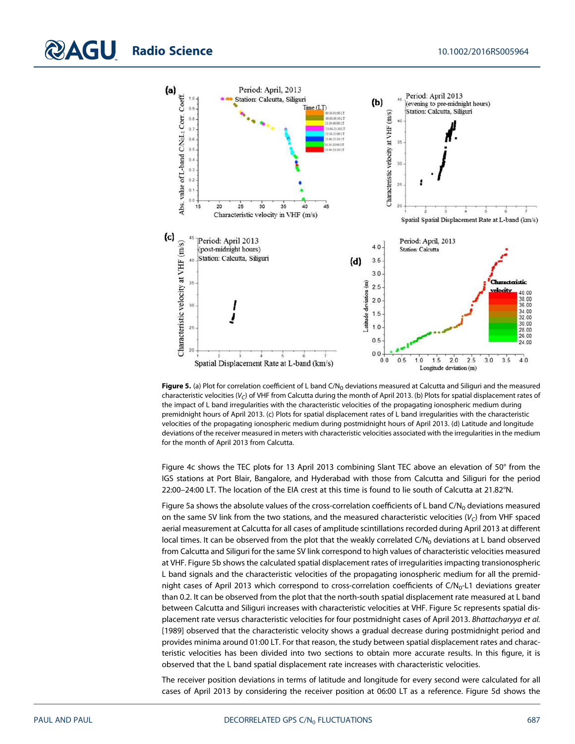



Figure 5. (a) Plot for correlation coefficient of L band C/N<sub>0</sub> deviations measured at Calcutta and Siliguri and the measured characteristic velocities ( $V_C$ ) of VHF from Calcutta during the month of April 2013. (b) Plots for spatial displacement rates of the impact of L band irregularities with the characteristic velocities of the propagating ionospheric medium during premidnight hours of April 2013. (c) Plots for spatial displacement rates of L band irregularities with the characteristic velocities of the propagating ionospheric medium during postmidnight hours of April 2013. (d) Latitude and longitude deviations of the receiver measured in meters with characteristic velocities associated with the irregularities in the medium for the month of April 2013 from Calcutta.

Figure 4c shows the TEC plots for 13 April 2013 combining Slant TEC above an elevation of 50° from the IGS stations at Port Blair, Bangalore, and Hyderabad with those from Calcutta and Siliguri for the period 22:00–24:00 LT. The location of the EIA crest at this time is found to lie south of Calcutta at 21.82°N.

Figure 5a shows the absolute values of the cross-correlation coefficients of L band C/N<sub>0</sub> deviations measured on the same SV link from the two stations, and the measured characteristic velocities ( $V_C$ ) from VHF spaced aerial measurement at Calcutta for all cases of amplitude scintillations recorded during April 2013 at different local times. It can be observed from the plot that the weakly correlated  $C/N_0$  deviations at L band observed from Calcutta and Siliguri for the same SV link correspond to high values of characteristic velocities measured at VHF. Figure 5b shows the calculated spatial displacement rates of irregularities impacting transionospheric L band signals and the characteristic velocities of the propagating ionospheric medium for all the premidnight cases of April 2013 which correspond to cross-correlation coefficients of  $C/N_0$ -L1 deviations greater than 0.2. It can be observed from the plot that the north-south spatial displacement rate measured at L band between Calcutta and Siliguri increases with characteristic velocities at VHF. Figure 5c represents spatial displacement rate versus characteristic velocities for four postmidnight cases of April 2013. Bhattacharyya et al. [1989] observed that the characteristic velocity shows a gradual decrease during postmidnight period and provides minima around 01:00 LT. For that reason, the study between spatial displacement rates and characteristic velocities has been divided into two sections to obtain more accurate results. In this figure, it is observed that the L band spatial displacement rate increases with characteristic velocities.

The receiver position deviations in terms of latitude and longitude for every second were calculated for all cases of April 2013 by considering the receiver position at 06:00 LT as a reference. Figure 5d shows the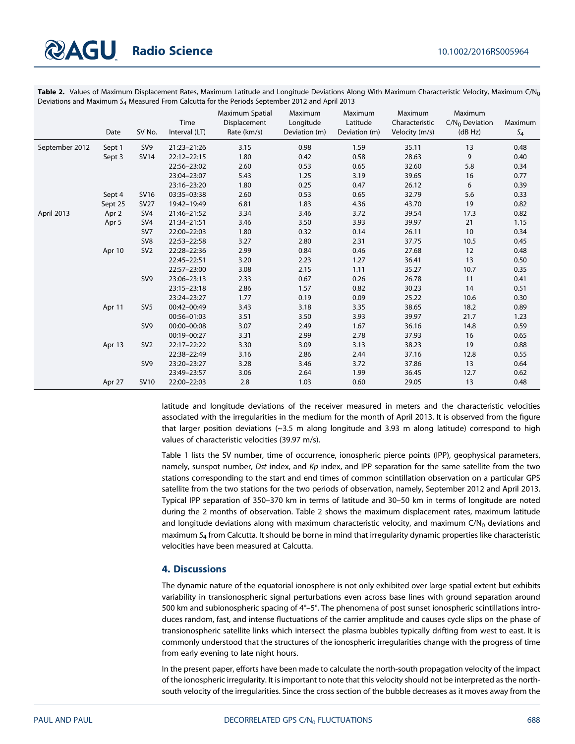Table 2. Values of Maximum Displacement Rates, Maximum Latitude and Longitude Deviations Along With Maximum Characteristic Velocity, Maximum C/N<sub>0</sub> Deviations and Maximum  $S_4$  Measured From Calcutta for the Periods September 2012 and April 2013

|                | Date    | SV No.          | Time<br>Interval (LT) | Maximum Spatial<br>Displacement<br>Rate (km/s) | Maximum<br>Longitude<br>Deviation (m) | Maximum<br>Latitude<br>Deviation (m) | Maximum<br>Characteristic<br>Velocity (m/s) | Maximum<br>$C/N_0$ Deviation<br>(dB Hz) | Maximum<br>$S_4$ |
|----------------|---------|-----------------|-----------------------|------------------------------------------------|---------------------------------------|--------------------------------------|---------------------------------------------|-----------------------------------------|------------------|
| September 2012 | Sept 1  | SV <sub>9</sub> | 21:23-21:26           | 3.15                                           | 0.98                                  | 1.59                                 | 35.11                                       | 13                                      | 0.48             |
|                | Sept 3  | <b>SV14</b>     | 22:12-22:15           | 1.80                                           | 0.42                                  | 0.58                                 | 28.63                                       | 9                                       | 0.40             |
|                |         |                 | 22:56-23:02           | 2.60                                           | 0.53                                  | 0.65                                 | 32.60                                       | 5.8                                     | 0.34             |
|                |         |                 | 23:04-23:07           | 5.43                                           | 1.25                                  | 3.19                                 | 39.65                                       | 16                                      | 0.77             |
|                |         |                 | 23:16-23:20           | 1.80                                           | 0.25                                  | 0.47                                 | 26.12                                       | 6                                       | 0.39             |
|                | Sept 4  | <b>SV16</b>     | 03:35-03:38           | 2.60                                           | 0.53                                  | 0.65                                 | 32.79                                       | 5.6                                     | 0.33             |
|                | Sept 25 | <b>SV27</b>     | 19:42-19:49           | 6.81                                           | 1.83                                  | 4.36                                 | 43.70                                       | 19                                      | 0.82             |
| April 2013     | Apr 2   | SV <sub>4</sub> | 21:46-21:52           | 3.34                                           | 3.46                                  | 3.72                                 | 39.54                                       | 17.3                                    | 0.82             |
|                | Apr 5   | SV <sub>4</sub> | 21:34-21:51           | 3.46                                           | 3.50                                  | 3.93                                 | 39.97                                       | 21                                      | 1.15             |
|                |         | SV7             | 22:00-22:03           | 1.80                                           | 0.32                                  | 0.14                                 | 26.11                                       | 10                                      | 0.34             |
|                |         | SV <sub>8</sub> | 22:53-22:58           | 3.27                                           | 2.80                                  | 2.31                                 | 37.75                                       | 10.5                                    | 0.45             |
|                | Apr 10  | SV <sub>2</sub> | 22:28-22:36           | 2.99                                           | 0.84                                  | 0.46                                 | 27.68                                       | 12                                      | 0.48             |
|                |         |                 | 22:45-22:51           | 3.20                                           | 2.23                                  | 1.27                                 | 36.41                                       | 13                                      | 0.50             |
|                |         |                 | 22:57-23:00           | 3.08                                           | 2.15                                  | 1.11                                 | 35.27                                       | 10.7                                    | 0.35             |
|                |         | SV <sub>9</sub> | 23:06-23:13           | 2.33                                           | 0.67                                  | 0.26                                 | 26.78                                       | 11                                      | 0.41             |
|                |         |                 | 23:15-23:18           | 2.86                                           | 1.57                                  | 0.82                                 | 30.23                                       | 14                                      | 0.51             |
|                |         |                 | 23:24-23:27           | 1.77                                           | 0.19                                  | 0.09                                 | 25.22                                       | 10.6                                    | 0.30             |
|                | Apr 11  | SV <sub>5</sub> | 00:42-00:49           | 3.43                                           | 3.18                                  | 3.35                                 | 38.65                                       | 18.2                                    | 0.89             |
|                |         |                 | 00:56-01:03           | 3.51                                           | 3.50                                  | 3.93                                 | 39.97                                       | 21.7                                    | 1.23             |
|                |         | SV <sub>9</sub> | 00:00-00:08           | 3.07                                           | 2.49                                  | 1.67                                 | 36.16                                       | 14.8                                    | 0.59             |
|                |         |                 | 00:19-00:27           | 3.31                                           | 2.99                                  | 2.78                                 | 37.93                                       | 16                                      | 0.65             |
|                | Apr 13  | SV <sub>2</sub> | 22:17-22:22           | 3.30                                           | 3.09                                  | 3.13                                 | 38.23                                       | 19                                      | 0.88             |
|                |         |                 | 22:38-22:49           | 3.16                                           | 2.86                                  | 2.44                                 | 37.16                                       | 12.8                                    | 0.55             |
|                |         | SV <sub>9</sub> | 23:20-23:27           | 3.28                                           | 3.46                                  | 3.72                                 | 37.86                                       | 13                                      | 0.64             |
|                |         |                 | 23:49-23:57           | 3.06                                           | 2.64                                  | 1.99                                 | 36.45                                       | 12.7                                    | 0.62             |
|                | Apr 27  | <b>SV10</b>     | 22:00-22:03           | 2.8                                            | 1.03                                  | 0.60                                 | 29.05                                       | 13                                      | 0.48             |

latitude and longitude deviations of the receiver measured in meters and the characteristic velocities associated with the irregularities in the medium for the month of April 2013. It is observed from the figure that larger position deviations  $(\sim]3.5$  m along longitude and 3.93 m along latitude) correspond to high values of characteristic velocities (39.97 m/s).

Table 1 lists the SV number, time of occurrence, ionospheric pierce points (IPP), geophysical parameters, namely, sunspot number, Dst index, and Kp index, and IPP separation for the same satellite from the two stations corresponding to the start and end times of common scintillation observation on a particular GPS satellite from the two stations for the two periods of observation, namely, September 2012 and April 2013. Typical IPP separation of 350–370 km in terms of latitude and 30–50 km in terms of longitude are noted during the 2 months of observation. Table 2 shows the maximum displacement rates, maximum latitude and longitude deviations along with maximum characteristic velocity, and maximum  $C/N_0$  deviations and maximum  $S<sub>4</sub>$  from Calcutta. It should be borne in mind that irregularity dynamic properties like characteristic velocities have been measured at Calcutta.

# 4. Discussions

The dynamic nature of the equatorial ionosphere is not only exhibited over large spatial extent but exhibits variability in transionospheric signal perturbations even across base lines with ground separation around 500 km and subionospheric spacing of  $4^{\circ}$ –5°. The phenomena of post sunset ionospheric scintillations introduces random, fast, and intense fluctuations of the carrier amplitude and causes cycle slips on the phase of transionospheric satellite links which intersect the plasma bubbles typically drifting from west to east. It is commonly understood that the structures of the ionospheric irregularities change with the progress of time from early evening to late night hours.

In the present paper, efforts have been made to calculate the north-south propagation velocity of the impact of the ionospheric irregularity. It is important to note that this velocity should not be interpreted as the northsouth velocity of the irregularities. Since the cross section of the bubble decreases as it moves away from the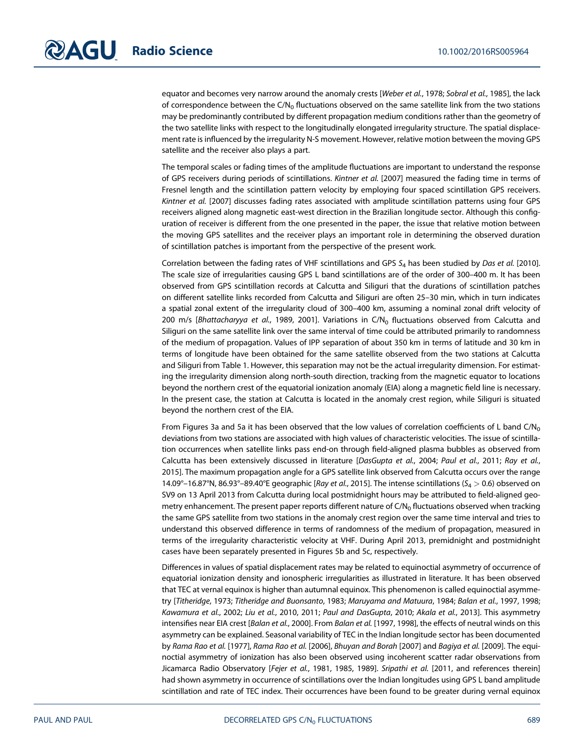equator and becomes very narrow around the anomaly crests [Weber et al., 1978; Sobral et al., 1985], the lack of correspondence between the C/N<sub>0</sub> fluctuations observed on the same satellite link from the two stations may be predominantly contributed by different propagation medium conditions rather than the geometry of the two satellite links with respect to the longitudinally elongated irregularity structure. The spatial displacement rate is influenced by the irregularity N-S movement. However, relative motion between the moving GPS satellite and the receiver also plays a part.

The temporal scales or fading times of the amplitude fluctuations are important to understand the response of GPS receivers during periods of scintillations. Kintner et al. [2007] measured the fading time in terms of Fresnel length and the scintillation pattern velocity by employing four spaced scintillation GPS receivers. Kintner et al. [2007] discusses fading rates associated with amplitude scintillation patterns using four GPS receivers aligned along magnetic east-west direction in the Brazilian longitude sector. Although this configuration of receiver is different from the one presented in the paper, the issue that relative motion between the moving GPS satellites and the receiver plays an important role in determining the observed duration of scintillation patches is important from the perspective of the present work.

Correlation between the fading rates of VHF scintillations and GPS  $S_4$  has been studied by Das et al. [2010]. The scale size of irregularities causing GPS L band scintillations are of the order of 300–400 m. It has been observed from GPS scintillation records at Calcutta and Siliguri that the durations of scintillation patches on different satellite links recorded from Calcutta and Siliguri are often 25–30 min, which in turn indicates a spatial zonal extent of the irregularity cloud of 300–400 km, assuming a nominal zonal drift velocity of 200 m/s [Bhattacharyya et al., 1989, 2001]. Variations in C/N<sub>0</sub> fluctuations observed from Calcutta and Siliguri on the same satellite link over the same interval of time could be attributed primarily to randomness of the medium of propagation. Values of IPP separation of about 350 km in terms of latitude and 30 km in terms of longitude have been obtained for the same satellite observed from the two stations at Calcutta and Siliguri from Table 1. However, this separation may not be the actual irregularity dimension. For estimating the irregularity dimension along north-south direction, tracking from the magnetic equator to locations beyond the northern crest of the equatorial ionization anomaly (EIA) along a magnetic field line is necessary. In the present case, the station at Calcutta is located in the anomaly crest region, while Siliguri is situated beyond the northern crest of the EIA.

From Figures 3a and 5a it has been observed that the low values of correlation coefficients of L band  $C/N_0$ deviations from two stations are associated with high values of characteristic velocities. The issue of scintillation occurrences when satellite links pass end-on through field-aligned plasma bubbles as observed from Calcutta has been extensively discussed in literature [DasGupta et al., 2004; Paul et al., 2011; Ray et al., 2015]. The maximum propagation angle for a GPS satellite link observed from Calcutta occurs over the range 14.09°–16.87°N, 86.93°–89.40°E geographic [Ray et al., 2015]. The intense scintillations ( $S_4 > 0.6$ ) observed on SV9 on 13 April 2013 from Calcutta during local postmidnight hours may be attributed to field-aligned geometry enhancement. The present paper reports different nature of  $C/N_0$  fluctuations observed when tracking the same GPS satellite from two stations in the anomaly crest region over the same time interval and tries to understand this observed difference in terms of randomness of the medium of propagation, measured in terms of the irregularity characteristic velocity at VHF. During April 2013, premidnight and postmidnight cases have been separately presented in Figures 5b and 5c, respectively.

Differences in values of spatial displacement rates may be related to equinoctial asymmetry of occurrence of equatorial ionization density and ionospheric irregularities as illustrated in literature. It has been observed that TEC at vernal equinox is higher than autumnal equinox. This phenomenon is called equinoctial asymmetry [Titheridge, 1973; Titheridge and Buonsanto, 1983; Maruyama and Matuura, 1984; Balan et al., 1997, 1998; Kawamura et al., 2002; Liu et al., 2010, 2011; Paul and DasGupta, 2010; Akala et al., 2013]. This asymmetry intensifies near EIA crest [Balan et al., 2000]. From Balan et al. [1997, 1998], the effects of neutral winds on this asymmetry can be explained. Seasonal variability of TEC in the Indian longitude sector has been documented by Rama Rao et al. [1977], Rama Rao et al. [2006], Bhuyan and Borah [2007] and Bagiya et al. [2009]. The equinoctial asymmetry of ionization has also been observed using incoherent scatter radar observations from Jicamarca Radio Observatory [Fejer et al., 1981, 1985, 1989]. Sripathi et al. [2011, and references therein] had shown asymmetry in occurrence of scintillations over the Indian longitudes using GPS L band amplitude scintillation and rate of TEC index. Their occurrences have been found to be greater during vernal equinox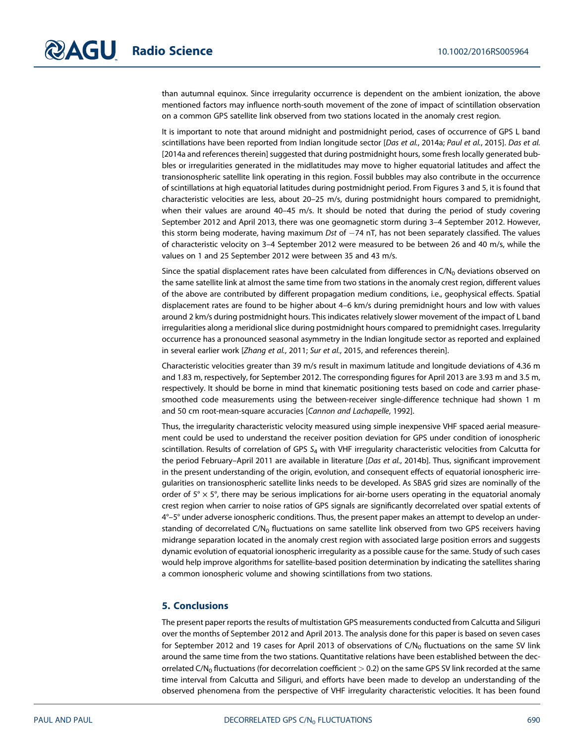than autumnal equinox. Since irregularity occurrence is dependent on the ambient ionization, the above mentioned factors may influence north-south movement of the zone of impact of scintillation observation on a common GPS satellite link observed from two stations located in the anomaly crest region.

It is important to note that around midnight and postmidnight period, cases of occurrence of GPS L band scintillations have been reported from Indian longitude sector [Das et al., 2014a; Paul et al., 2015]. Das et al. [2014a and references therein] suggested that during postmidnight hours, some fresh locally generated bubbles or irregularities generated in the midlatitudes may move to higher equatorial latitudes and affect the transionospheric satellite link operating in this region. Fossil bubbles may also contribute in the occurrence of scintillations at high equatorial latitudes during postmidnight period. From Figures 3 and 5, it is found that characteristic velocities are less, about 20–25 m/s, during postmidnight hours compared to premidnight, when their values are around 40–45 m/s. It should be noted that during the period of study covering September 2012 and April 2013, there was one geomagnetic storm during 3–4 September 2012. However, this storm being moderate, having maximum *Dst* of  $-74$  nT, has not been separately classified. The values of characteristic velocity on 3–4 September 2012 were measured to be between 26 and 40 m/s, while the values on 1 and 25 September 2012 were between 35 and 43 m/s.

Since the spatial displacement rates have been calculated from differences in  $C/N<sub>0</sub>$  deviations observed on the same satellite link at almost the same time from two stations in the anomaly crest region, different values of the above are contributed by different propagation medium conditions, i.e., geophysical effects. Spatial displacement rates are found to be higher about 4–6 km/s during premidnight hours and low with values around 2 km/s during postmidnight hours. This indicates relatively slower movement of the impact of L band irregularities along a meridional slice during postmidnight hours compared to premidnight cases. Irregularity occurrence has a pronounced seasonal asymmetry in the Indian longitude sector as reported and explained in several earlier work [Zhang et al., 2011; Sur et al., 2015, and references therein].

Characteristic velocities greater than 39 m/s result in maximum latitude and longitude deviations of 4.36 m and 1.83 m, respectively, for September 2012. The corresponding figures for April 2013 are 3.93 m and 3.5 m, respectively. It should be borne in mind that kinematic positioning tests based on code and carrier phasesmoothed code measurements using the between-receiver single-difference technique had shown 1 m and 50 cm root-mean-square accuracies [Cannon and Lachapelle, 1992].

Thus, the irregularity characteristic velocity measured using simple inexpensive VHF spaced aerial measurement could be used to understand the receiver position deviation for GPS under condition of ionospheric scintillation. Results of correlation of GPS  $S_4$  with VHF irregularity characteristic velocities from Calcutta for the period February–April 2011 are available in literature [Das et al., 2014b]. Thus, significant improvement in the present understanding of the origin, evolution, and consequent effects of equatorial ionospheric irregularities on transionospheric satellite links needs to be developed. As SBAS grid sizes are nominally of the order of  $5^\circ \times 5^\circ$ , there may be serious implications for air-borne users operating in the equatorial anomaly crest region when carrier to noise ratios of GPS signals are significantly decorrelated over spatial extents of 4°–5° under adverse ionospheric conditions. Thus, the present paper makes an attempt to develop an understanding of decorrelated C/N<sub>0</sub> fluctuations on same satellite link observed from two GPS receivers having midrange separation located in the anomaly crest region with associated large position errors and suggests dynamic evolution of equatorial ionospheric irregularity as a possible cause for the same. Study of such cases would help improve algorithms for satellite-based position determination by indicating the satellites sharing a common ionospheric volume and showing scintillations from two stations.

# 5. Conclusions

The present paper reports the results of multistation GPS measurements conducted from Calcutta and Siliguri over the months of September 2012 and April 2013. The analysis done for this paper is based on seven cases for September 2012 and 19 cases for April 2013 of observations of  $C/N_0$  fluctuations on the same SV link around the same time from the two stations. Quantitative relations have been established between the decorrelated C/N<sub>0</sub> fluctuations (for decorrelation coefficient  $>$  0.2) on the same GPS SV link recorded at the same time interval from Calcutta and Siliguri, and efforts have been made to develop an understanding of the observed phenomena from the perspective of VHF irregularity characteristic velocities. It has been found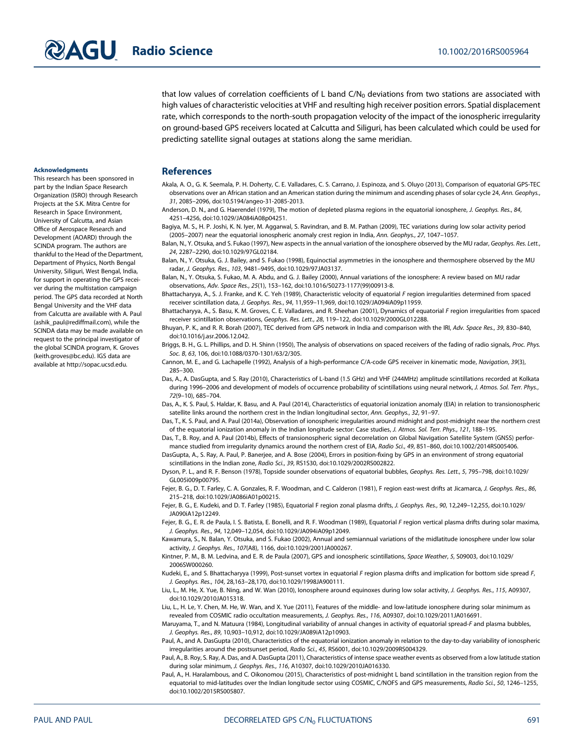that low values of correlation coefficients of L band  $C/N<sub>0</sub>$  deviations from two stations are associated with high values of characteristic velocities at VHF and resulting high receiver position errors. Spatial displacement rate, which corresponds to the north-south propagation velocity of the impact of the ionospheric irregularity on ground-based GPS receivers located at Calcutta and Siliguri, has been calculated which could be used for predicting satellite signal outages at stations along the same meridian.

#### Acknowledgments

This research has been sponsored in part by the Indian Space Research Organization (ISRO) through Research Projects at the S.K. Mitra Centre for Research in Space Environment, University of Calcutta, and Asian Office of Aerospace Research and Development (AOARD) through the SCINDA program. The authors are thankful to the Head of the Department, Department of Physics, North Bengal University, Siliguri, West Bengal, India, for support in operating the GPS receiver during the multistation campaign period. The GPS data recorded at North Bengal University and the VHF data from Calcutta are available with A. Paul (ashik\_paul@rediffmail.com), while the SCINDA data may be made available on request to the principal investigator of the global SCINDA program, K. Groves (keith.groves@bc.edu). IGS data are available at http://sopac.ucsd.edu.

## References

- Akala, A. O., G. K. Seemala, P. H. Doherty, C. E. Valladares, C. S. Carrano, J. Espinoza, and S. Oluyo (2013), Comparison of equatorial GPS-TEC observations over an African station and an American station during the minimum and ascending phases of solar cycle 24, Ann. Geophys., 31, 2085–2096, doi:10.5194/angeo-31-2085-2013.
- Anderson, D. N., and G. Haerendel (1979), The motion of depleted plasma regions in the equatorial ionosphere, J. Geophys. Res., 84, 4251–4256, doi:10.1029/JA084iA08p04251.
- Bagiya, M. S., H. P. Joshi, K. N. Iyer, M. Aggarwal, S. Ravindran, and B. M. Pathan (2009), TEC variations during low solar activity period (2005–2007) near the equatorial ionospheric anomaly crest region in India, Ann. Geophys., 27, 1047–1057.
- Balan, N., Y. Otsuka, and S. Fukao (1997), New aspects in the annual variation of the ionosphere observed by the MU radar, Geophys. Res. Lett., 24, 2287–2290, doi:10.1029/97GL02184.
- Balan, N., Y. Otsuka, G. J. Bailey, and S. Fukao (1998), Equinoctial asymmetries in the ionosphere and thermosphere observed by the MU radar, J. Geophys. Res., 103, 9481–9495, doi:10.1029/97JA03137.
- Balan, N., Y. Otsuka, S. Fukao, M. A. Abdu, and G. J. Bailey (2000), Annual variations of the ionosphere: A review based on MU radar observations, Adv. Space Res., 25(1), 153–162, doi:10.1016/S0273-1177(99)00913-8.
- Bhattacharyya, A., S. J. Franke, and K. C. Yeh (1989), Characteristic velocity of equatorial F region irregularities determined from spaced receiver scintillation data, J. Geophys. Res., 94, 11,959–11,969, doi:10.1029/JA094iA09p11959.
- Bhattacharyya, A., S. Basu, K. M. Groves, C. E. Valladares, and R. Sheehan (2001), Dynamics of equatorial F region irregularities from spaced receiver scintillation observations, Geophys. Res. Lett., 28, 119–122, doi:10.1029/2000GL012288.
- Bhuyan, P. K., and R. R. Borah (2007), TEC derived from GPS network in India and comparison with the IRI, Adv. Space Res., 39, 830–840, doi:10.1016/j.asr.2006.12.042.
- Briggs, B. H., G. L. Phillips, and D. H. Shinn (1950), The analysis of observations on spaced receivers of the fading of radio signals, Proc. Phys. Soc. B, 63, 106, doi:10.1088/0370-1301/63/2/305.
- Cannon, M. E., and G. Lachapelle (1992), Analysis of a high-performance C/A-code GPS receiver in kinematic mode, Navigation, 39(3), 285–300.
- Das, A., A. DasGupta, and S. Ray (2010), Characteristics of L-band (1.5 GHz) and VHF (244MHz) amplitude scintillations recorded at Kolkata during 1996-2006 and development of models of occurrence probability of scintillations using neural network, J. Atmos. Sol. Terr. Phys., 72(9–10), 685–704.
- Das, A., K. S. Paul, S. Haldar, K. Basu, and A. Paul (2014), Characteristics of equatorial ionization anomaly (EIA) in relation to transionospheric satellite links around the northern crest in the Indian longitudinal sector, Ann. Geophys., 32, 91–97.
- Das, T., K. S. Paul, and A. Paul (2014a), Observation of ionospheric irregularities around midnight and post-midnight near the northern crest of the equatorial ionization anomaly in the Indian longitude sector: Case studies, J. Atmos. Sol. Terr. Phys., 121, 188–195.
- Das, T., B. Roy, and A. Paul (2014b), Effects of transionospheric signal decorrelation on Global Navigation Satellite System (GNSS) performance studied from irregularity dynamics around the northern crest of EIA, Radio Sci., 49, 851–860, doi:10.1002/2014RS005406.
- DasGupta, A., S. Ray, A. Paul, P. Banerjee, and A. Bose (2004), Errors in position-fixing by GPS in an environment of strong equatorial scintillations in the Indian zone, Radio Sci., 39, RS1S30, doi:10.1029/2002RS002822.
- Dyson, P. L., and R. F. Benson (1978), Topside sounder observations of equatorial bubbles, Geophys. Res. Lett., 5, 795–798, doi:10.1029/ GL005i009p00795.
- Fejer, B. G., D. T. Farley, C. A. Gonzales, R. F. Woodman, and C. Calderon (1981), F region east-west drifts at Jicamarca, J. Geophys. Res., 86, 215–218, doi:10.1029/JA086iA01p00215.
- Fejer, B. G., E. Kudeki, and D. T. Farley (1985), Equatorial F region zonal plasma drifts, J. Geophys. Res., 90, 12,249–12,255, doi:10.1029/ JA090iA12p12249.
- Fejer, B. G., E. R. de Paula, I. S. Batista, E. Bonelli, and R. F. Woodman (1989), Equatorial F region vertical plasma drifts during solar maxima, J. Geophys. Res., 94, 12,049–12,054, doi:10.1029/JA094iA09p12049.

- Kintner, P. M., B. M. Ledvina, and E. R. de Paula (2007), GPS and ionospheric scintillations, Space Weather, 5, S09003, doi:10.1029/ 2006SW000260.
- Kudeki, E., and S. Bhattacharyya (1999), Post-sunset vortex in equatorial F region plasma drifts and implication for bottom side spread F, J. Geophys. Res., 104, 28,163–28,170, doi:10.1029/1998JA900111.
- Liu, L., M. He, X. Yue, B. Ning, and W. Wan (2010), Ionosphere around equinoxes during low solar activity, J. Geophys. Res., 115, A09307, doi:10.1029/2010JA015318.
- Liu, L., H. Le, Y. Chen, M. He, W. Wan, and X. Yue (2011), Features of the middle- and low-latitude ionosphere during solar minimum as revealed from COSMIC radio occultation measurements, J. Geophys. Res., 116, A09307, doi:10.1029/2011JA016691.
- Maruyama, T., and N. Matuura (1984), Longitudinal variability of annual changes in activity of equatorial spread-F and plasma bubbles, J. Geophys. Res., 89, 10,903–10,912, doi:10.1029/JA089iA12p10903.
- Paul, A., and A. DasGupta (2010), Characteristics of the equatorial ionization anomaly in relation to the day-to-day variability of ionospheric irregularities around the postsunset period, Radio Sci., 45, RS6001, doi:10.1029/2009RS004329.
- Paul, A., B. Roy, S. Ray, A. Das, and A. DasGupta (2011), Characteristics of intense space weather events as observed from a low latitude station during solar minimum, J. Geophys. Res., 116, A10307, doi:10.1029/2010JA016330.
- Paul, A., H. Haralambous, and C. Oikonomou (2015), Characteristics of post-midnight L band scintillation in the transition region from the equatorial to mid-latitudes over the Indian longitude sector using COSMIC, C/NOFS and GPS measurements, Radio Sci., 50, 1246-1255, doi:10.1002/2015RS005807.

Kawamura, S., N. Balan, Y. Otsuka, and S. Fukao (2002), Annual and semiannual variations of the midlatitude ionosphere under low solar activity, J. Geophys. Res., 107(A8), 1166, doi:10.1029/2001JA000267.